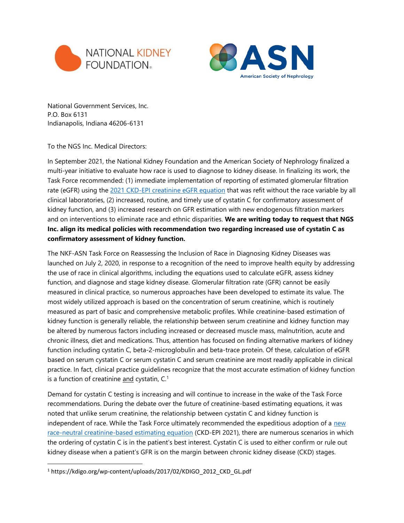



National Government Services, Inc. P.O. Box 6131 Indianapolis, Indiana 46206-6131

To the NGS Inc. Medical Directors:

In September 2021, the National Kidney Foundation and the American Society of Nephrology finalized a multi-year initiative to evaluate how race is used to diagnose to kidney disease. In finalizing its work, the Task Force recommended: (1) immediate implementation of reporting of estimated glomerular filtration rate (eGFR) using the [2021 CKD-EPI creatinine eGFR equation](https://www.nejm.org/doi/full/10.1056/NEJMoa2102953) that was refit without the race variable by all clinical laboratories, (2) increased, routine, and timely use of cystatin C for confirmatory assessment of kidney function, and (3) increased research on GFR estimation with new endogenous filtration markers and on interventions to eliminate race and ethnic disparities. **We are writing today to request that NGS Inc. align its medical policies with recommendation two regarding increased use of cystatin C as confirmatory assessment of kidney function.**

The NKF-ASN Task Force on Reassessing the Inclusion of Race in Diagnosing Kidney Diseases was launched on July 2, 2020, in response to a recognition of the need to improve health equity by addressing the use of race in clinical algorithms, including the equations used to calculate eGFR, assess kidney function, and diagnose and stage kidney disease. Glomerular filtration rate (GFR) cannot be easily measured in clinical practice, so numerous approaches have been developed to estimate its value. The most widely utilized approach is based on the concentration of serum creatinine, which is routinely measured as part of basic and comprehensive metabolic profiles. While creatinine-based estimation of kidney function is generally reliable, the relationship between serum creatinine and kidney function may be altered by numerous factors including increased or decreased muscle mass, malnutrition, acute and chronic illness, diet and medications. Thus, attention has focused on finding alternative markers of kidney function including cystatin C, beta-2-microglobulin and beta-trace protein. Of these, calculation of eGFR based on serum cystatin C or serum cystatin C and serum creatinine are most readily applicable in clinical practice. In fact, clinical practice guidelines recognize that the most accurate estimation of kidney function is a function of creatinine and cystatin,  $C<sup>1</sup>$ 

Demand for cystatin C testing is increasing and will continue to increase in the wake of the Task Force recommendations. During the debate over the future of creatinine-based estimating equations, it was noted that unlike serum creatinine, the relationship between cystatin C and kidney function is independent of race. While the Task Force ultimately recommended the expeditious adoption of a [new](https://www.nejm.org/doi/full/10.1056/NEJMoa2102953)  [race-neutral creatinine-based estimating equation](https://www.nejm.org/doi/full/10.1056/NEJMoa2102953) (CKD-EPI 2021), there are numerous scenarios in which the ordering of cystatin C is in the patient's best interest. Cystatin C is used to either confirm or rule out kidney disease when a patient's GFR is on the margin between chronic kidney disease (CKD) stages.

<sup>1</sup> https://kdigo.org/wp-content/uploads/2017/02/KDIGO\_2012\_CKD\_GL.pdf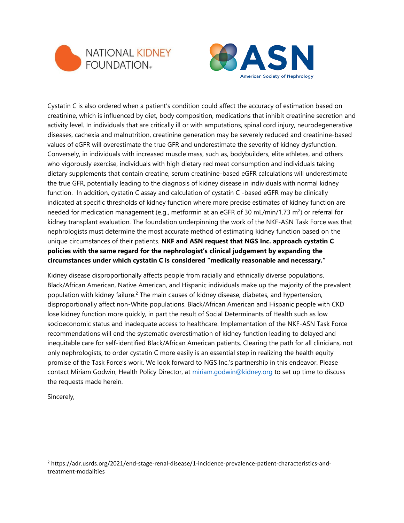



Cystatin C is also ordered when a patient's condition could affect the accuracy of estimation based on creatinine, which is influenced by diet, body composition, medications that inhibit creatinine secretion and activity level. In individuals that are critically ill or with amputations, spinal cord injury, neurodegenerative diseases, cachexia and malnutrition, creatinine generation may be severely reduced and creatinine-based values of eGFR will overestimate the true GFR and underestimate the severity of kidney dysfunction. Conversely, in individuals with increased muscle mass, such as, bodybuilders, elite athletes, and others who vigorously exercise, individuals with high dietary red meat consumption and individuals taking dietary supplements that contain creatine, serum creatinine-based eGFR calculations will underestimate the true GFR, potentially leading to the diagnosis of kidney disease in individuals with normal kidney function. In addition, cystatin C assay and calculation of cystatin C -based eGFR may be clinically indicated at specific thresholds of kidney function where more precise estimates of kidney function are needed for medication management (e.g., metformin at an eGFR of 30 mL/min/1.73 m<sup>2</sup>) or referral for kidney transplant evaluation. The foundation underpinning the work of the NKF-ASN Task Force was that nephrologists must determine the most accurate method of estimating kidney function based on the unique circumstances of their patients. **NKF and ASN request that NGS Inc. approach cystatin C policies with the same regard for the nephrologist's clinical judgement by expanding the circumstances under which cystatin C is considered "medically reasonable and necessary."**

Kidney disease disproportionally affects people from racially and ethnically diverse populations. Black/African American, Native American, and Hispanic individuals make up the majority of the prevalent population with kidney failure. <sup>2</sup> The main causes of kidney disease, diabetes, and hypertension, disproportionally affect non-White populations. Black/African American and Hispanic people with CKD lose kidney function more quickly, in part the result of Social Determinants of Health such as low socioeconomic status and inadequate access to healthcare. Implementation of the NKF-ASN Task Force recommendations will end the systematic overestimation of kidney function leading to delayed and inequitable care for self-identified Black/African American patients. Clearing the path for all clinicians, not only nephrologists, to order cystatin C more easily is an essential step in realizing the health equity promise of the Task Force's work. We look forward to NGS Inc.'s partnership in this endeavor. Please contact Miriam Godwin, Health Policy Director, at [miriam.godwin@kidney.org](mailto:miriam.godwin@kidney.org) to set up time to discuss the requests made herein.

Sincerely,

<sup>2</sup> https://adr.usrds.org/2021/end-stage-renal-disease/1-incidence-prevalence-patient-characteristics-andtreatment-modalities